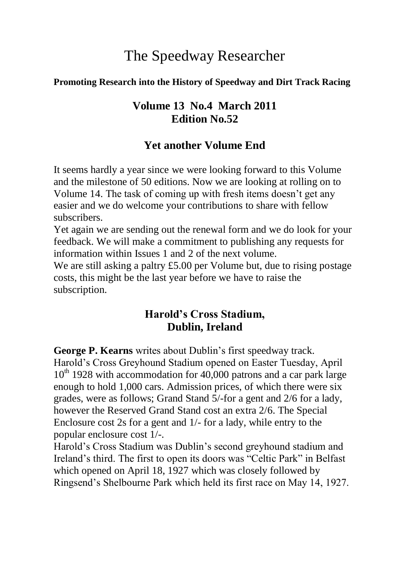# The Speedway Researcher

#### **Promoting Research into the History of Speedway and Dirt Track Racing**

#### **Volume 13 No.4 March 2011 Edition No.52**

#### **Yet another Volume End**

It seems hardly a year since we were looking forward to this Volume and the milestone of 50 editions. Now we are looking at rolling on to Volume 14. The task of coming up with fresh items doesn"t get any easier and we do welcome your contributions to share with fellow subscribers.

Yet again we are sending out the renewal form and we do look for your feedback. We will make a commitment to publishing any requests for information within Issues 1 and 2 of the next volume.

We are still asking a paltry £5.00 per Volume but, due to rising postage costs, this might be the last year before we have to raise the subscription.

# **Harold's Cross Stadium, Dublin, Ireland**

**George P. Kearns** writes about Dublin's first speedway track. Harold"s Cross Greyhound Stadium opened on Easter Tuesday, April  $10<sup>th</sup>$  1928 with accommodation for 40,000 patrons and a car park large enough to hold 1,000 cars. Admission prices, of which there were six grades, were as follows; Grand Stand 5/-for a gent and 2/6 for a lady, however the Reserved Grand Stand cost an extra 2/6. The Special Enclosure cost 2s for a gent and 1/- for a lady, while entry to the popular enclosure cost 1/-.

Harold"s Cross Stadium was Dublin"s second greyhound stadium and Ireland"s third. The first to open its doors was "Celtic Park" in Belfast which opened on April 18, 1927 which was closely followed by Ringsend"s Shelbourne Park which held its first race on May 14, 1927.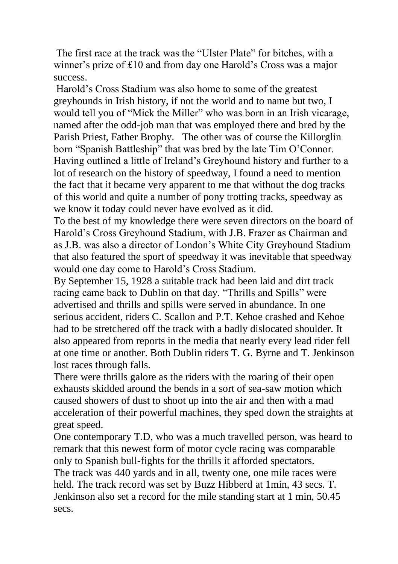The first race at the track was the "Ulster Plate" for bitches, with a winner's prize of £10 and from day one Harold's Cross was a major success.

Harold"s Cross Stadium was also home to some of the greatest greyhounds in Irish history, if not the world and to name but two, I would tell you of "Mick the Miller" who was born in an Irish vicarage, named after the odd-job man that was employed there and bred by the Parish Priest, Father Brophy. The other was of course the Killorglin born "Spanish Battleship" that was bred by the late Tim O"Connor. Having outlined a little of Ireland"s Greyhound history and further to a lot of research on the history of speedway, I found a need to mention the fact that it became very apparent to me that without the dog tracks of this world and quite a number of pony trotting tracks, speedway as we know it today could never have evolved as it did.

To the best of my knowledge there were seven directors on the board of Harold"s Cross Greyhound Stadium, with J.B. Frazer as Chairman and as J.B. was also a director of London"s White City Greyhound Stadium that also featured the sport of speedway it was inevitable that speedway would one day come to Harold"s Cross Stadium.

By September 15, 1928 a suitable track had been laid and dirt track racing came back to Dublin on that day. "Thrills and Spills" were advertised and thrills and spills were served in abundance. In one serious accident, riders C. Scallon and P.T. Kehoe crashed and Kehoe had to be stretchered off the track with a badly dislocated shoulder. It also appeared from reports in the media that nearly every lead rider fell at one time or another. Both Dublin riders T. G. Byrne and T. Jenkinson lost races through falls.

There were thrills galore as the riders with the roaring of their open exhausts skidded around the bends in a sort of sea-saw motion which caused showers of dust to shoot up into the air and then with a mad acceleration of their powerful machines, they sped down the straights at great speed.

One contemporary T.D, who was a much travelled person, was heard to remark that this newest form of motor cycle racing was comparable only to Spanish bull-fights for the thrills it afforded spectators. The track was 440 yards and in all, twenty one, one mile races were held. The track record was set by Buzz Hibberd at 1min, 43 secs. T. Jenkinson also set a record for the mile standing start at 1 min, 50.45 secs.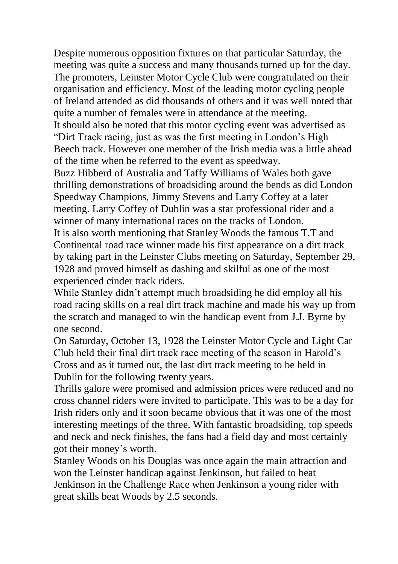Despite numerous opposition fixtures on that particular Saturday, the meeting was quite a success and many thousands turned up for the day. The promoters, Leinster Motor Cycle Club were congratulated on their organisation and efficiency. Most of the leading motor cycling people of Ireland attended as did thousands of others and it was well noted that quite a number of females were in attendance at the meeting. It should also be noted that this motor cycling event was advertised as

"Dirt Track racing, just as was the first meeting in London"s High Beech track. However one member of the Irish media was a little ahead of the time when he referred to the event as speedway.

Buzz Hibberd of Australia and Taffy Williams of Wales both gave thrilling demonstrations of broadsiding around the bends as did London Speedway Champions, Jimmy Stevens and Larry Coffey at a later meeting. Larry Coffey of Dublin was a star professional rider and a winner of many international races on the tracks of London.

It is also worth mentioning that Stanley Woods the famous T.T and Continental road race winner made his first appearance on a dirt track by taking part in the Leinster Clubs meeting on Saturday, September 29, 1928 and proved himself as dashing and skilful as one of the most experienced cinder track riders.

While Stanley didn"t attempt much broadsiding he did employ all his road racing skills on a real dirt track machine and made his way up from the scratch and managed to win the handicap event from J.J. Byrne by one second.

On Saturday, October 13, 1928 the Leinster Motor Cycle and Light Car Club held their final dirt track race meeting of the season in Harold"s Cross and as it turned out, the last dirt track meeting to be held in Dublin for the following twenty years.

Thrills galore were promised and admission prices were reduced and no cross channel riders were invited to participate. This was to be a day for Irish riders only and it soon became obvious that it was one of the most interesting meetings of the three. With fantastic broadsiding, top speeds and neck and neck finishes, the fans had a field day and most certainly got their money"s worth.

Stanley Woods on his Douglas was once again the main attraction and won the Leinster handicap against Jenkinson, but failed to beat Jenkinson in the Challenge Race when Jenkinson a young rider with great skills beat Woods by 2.5 seconds.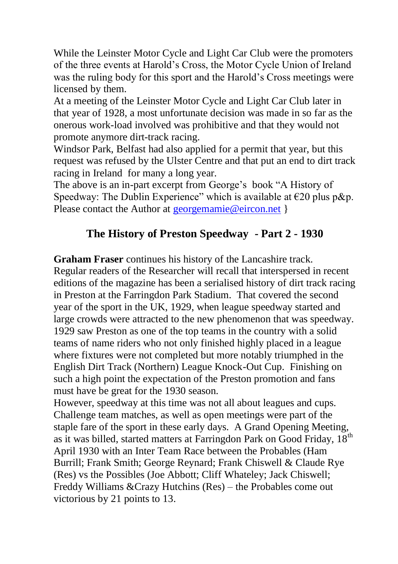While the Leinster Motor Cycle and Light Car Club were the promoters of the three events at Harold"s Cross, the Motor Cycle Union of Ireland was the ruling body for this sport and the Harold"s Cross meetings were licensed by them.

At a meeting of the Leinster Motor Cycle and Light Car Club later in that year of 1928, a most unfortunate decision was made in so far as the onerous work-load involved was prohibitive and that they would not promote anymore dirt-track racing.

Windsor Park, Belfast had also applied for a permit that year, but this request was refused by the Ulster Centre and that put an end to dirt track racing in Ireland for many a long year.

The above is an in-part excerpt from George's book "A History of Speedway: The Dublin Experience" which is available at  $\epsilon$ 20 plus p&p. Please contact the Author at [georgemamie@eircon.net](mailto:georgemamie@eircon.net) }

## **The History of Preston Speedway - Part 2 - 1930**

**Graham Fraser** continues his history of the Lancashire track.

Regular readers of the Researcher will recall that interspersed in recent editions of the magazine has been a serialised history of dirt track racing in Preston at the Farringdon Park Stadium. That covered the second year of the sport in the UK, 1929, when league speedway started and large crowds were attracted to the new phenomenon that was speedway. 1929 saw Preston as one of the top teams in the country with a solid teams of name riders who not only finished highly placed in a league where fixtures were not completed but more notably triumphed in the English Dirt Track (Northern) League Knock-Out Cup. Finishing on such a high point the expectation of the Preston promotion and fans must have be great for the 1930 season.

However, speedway at this time was not all about leagues and cups. Challenge team matches, as well as open meetings were part of the staple fare of the sport in these early days. A Grand Opening Meeting, as it was billed, started matters at Farringdon Park on Good Friday, 18<sup>th</sup> April 1930 with an Inter Team Race between the Probables (Ham Burrill; Frank Smith; George Reynard; Frank Chiswell & Claude Rye (Res) vs the Possibles (Joe Abbott; Cliff Whateley; Jack Chiswell; Freddy Williams &Crazy Hutchins (Res) – the Probables come out victorious by 21 points to 13.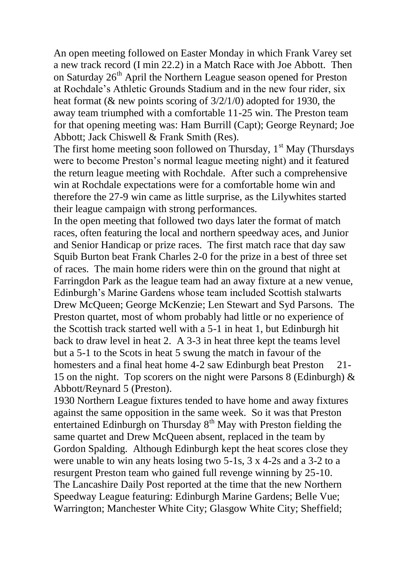An open meeting followed on Easter Monday in which Frank Varey set a new track record (I min 22.2) in a Match Race with Joe Abbott. Then on Saturday 26<sup>th</sup> April the Northern League season opened for Preston at Rochdale"s Athletic Grounds Stadium and in the new four rider, six heat format (& new points scoring of 3/2/1/0) adopted for 1930, the away team triumphed with a comfortable 11-25 win. The Preston team for that opening meeting was: Ham Burrill (Capt); George Reynard; Joe Abbott; Jack Chiswell & Frank Smith (Res).

The first home meeting soon followed on Thursday,  $1<sup>st</sup>$  May (Thursdays were to become Preston"s normal league meeting night) and it featured the return league meeting with Rochdale. After such a comprehensive win at Rochdale expectations were for a comfortable home win and therefore the 27-9 win came as little surprise, as the Lilywhites started their league campaign with strong performances.

In the open meeting that followed two days later the format of match races, often featuring the local and northern speedway aces, and Junior and Senior Handicap or prize races. The first match race that day saw Squib Burton beat Frank Charles 2-0 for the prize in a best of three set of races. The main home riders were thin on the ground that night at Farringdon Park as the league team had an away fixture at a new venue, Edinburgh"s Marine Gardens whose team included Scottish stalwarts Drew McQueen; George McKenzie; Len Stewart and Syd Parsons. The Preston quartet, most of whom probably had little or no experience of the Scottish track started well with a 5-1 in heat 1, but Edinburgh hit back to draw level in heat 2. A 3-3 in heat three kept the teams level but a 5-1 to the Scots in heat 5 swung the match in favour of the homesters and a final heat home 4-2 saw Edinburgh beat Preston 21-15 on the night. Top scorers on the night were Parsons 8 (Edinburgh)  $\&$ Abbott/Reynard 5 (Preston).

1930 Northern League fixtures tended to have home and away fixtures against the same opposition in the same week. So it was that Preston entertained Edinburgh on Thursday 8<sup>th</sup> May with Preston fielding the same quartet and Drew McQueen absent, replaced in the team by Gordon Spalding. Although Edinburgh kept the heat scores close they were unable to win any heats losing two 5-1s, 3 x 4-2s and a 3-2 to a resurgent Preston team who gained full revenge winning by 25-10. The Lancashire Daily Post reported at the time that the new Northern Speedway League featuring: Edinburgh Marine Gardens; Belle Vue; Warrington; Manchester White City; Glasgow White City; Sheffield;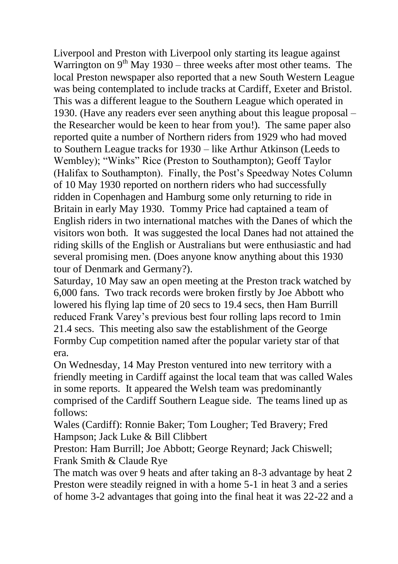Liverpool and Preston with Liverpool only starting its league against Warrington on  $9<sup>th</sup>$  May 1930 – three weeks after most other teams. The local Preston newspaper also reported that a new South Western League was being contemplated to include tracks at Cardiff, Exeter and Bristol. This was a different league to the Southern League which operated in 1930. (Have any readers ever seen anything about this league proposal – the Researcher would be keen to hear from you!). The same paper also reported quite a number of Northern riders from 1929 who had moved to Southern League tracks for 1930 – like Arthur Atkinson (Leeds to Wembley); "Winks" Rice (Preston to Southampton); Geoff Taylor (Halifax to Southampton). Finally, the Post"s Speedway Notes Column of 10 May 1930 reported on northern riders who had successfully ridden in Copenhagen and Hamburg some only returning to ride in Britain in early May 1930. Tommy Price had captained a team of English riders in two international matches with the Danes of which the visitors won both. It was suggested the local Danes had not attained the riding skills of the English or Australians but were enthusiastic and had several promising men. (Does anyone know anything about this 1930 tour of Denmark and Germany?).

Saturday, 10 May saw an open meeting at the Preston track watched by 6,000 fans. Two track records were broken firstly by Joe Abbott who lowered his flying lap time of 20 secs to 19.4 secs, then Ham Burrill reduced Frank Varey"s previous best four rolling laps record to 1min 21.4 secs. This meeting also saw the establishment of the George Formby Cup competition named after the popular variety star of that era.

On Wednesday, 14 May Preston ventured into new territory with a friendly meeting in Cardiff against the local team that was called Wales in some reports. It appeared the Welsh team was predominantly comprised of the Cardiff Southern League side. The teams lined up as follows:

Wales (Cardiff): Ronnie Baker; Tom Lougher; Ted Bravery; Fred Hampson; Jack Luke & Bill Clibbert

Preston: Ham Burrill; Joe Abbott; George Reynard; Jack Chiswell; Frank Smith & Claude Rye

The match was over 9 heats and after taking an 8-3 advantage by heat 2 Preston were steadily reigned in with a home 5-1 in heat 3 and a series of home 3-2 advantages that going into the final heat it was 22-22 and a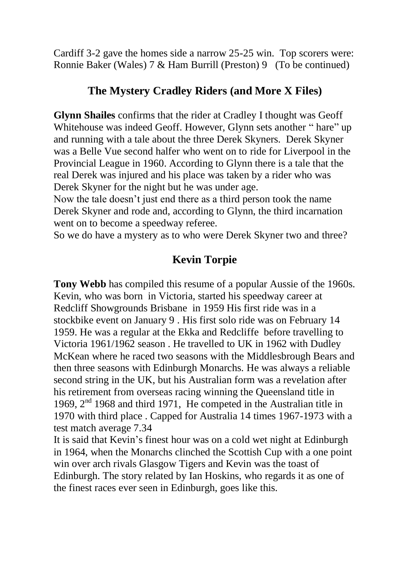Cardiff 3-2 gave the homes side a narrow 25-25 win. Top scorers were: Ronnie Baker (Wales) 7 & Ham Burrill (Preston) 9 (To be continued)

#### **The Mystery Cradley Riders (and More X Files)**

**Glynn Shailes** confirms that the rider at Cradley I thought was Geoff Whitehouse was indeed Geoff. However, Glynn sets another " hare" up and running with a tale about the three Derek Skyners. Derek Skyner was a Belle Vue second halfer who went on to ride for Liverpool in the Provincial League in 1960. According to Glynn there is a tale that the real Derek was injured and his place was taken by a rider who was Derek Skyner for the night but he was under age.

Now the tale doesn"t just end there as a third person took the name Derek Skyner and rode and, according to Glynn, the third incarnation went on to become a speedway referee.

So we do have a mystery as to who were Derek Skyner two and three?

### **Kevin Torpie**

**Tony Webb** has compiled this resume of a popular Aussie of the 1960s. Kevin, who was born in Victoria, started his speedway career at Redcliff Showgrounds Brisbane in 1959 His first ride was in a stockbike event on January 9 . His first solo ride was on February 14 1959. He was a regular at the Ekka and Redcliffe before travelling to Victoria 1961/1962 season . He travelled to UK in 1962 with Dudley McKean where he raced two seasons with the Middlesbrough Bears and then three seasons with Edinburgh Monarchs. He was always a reliable second string in the UK, but his Australian form was a revelation after his retirement from overseas racing winning the Queensland title in 1969, 2nd 1968 and third 1971, He competed in the Australian title in 1970 with third place . Capped for Australia 14 times 1967-1973 with a test match average 7.34

It is said that Kevin"s finest hour was on a cold wet night at Edinburgh in 1964, when the Monarchs clinched the Scottish Cup with a one point win over arch rivals Glasgow Tigers and Kevin was the toast of Edinburgh. The story related by Ian Hoskins, who regards it as one of the finest races ever seen in Edinburgh, goes like this.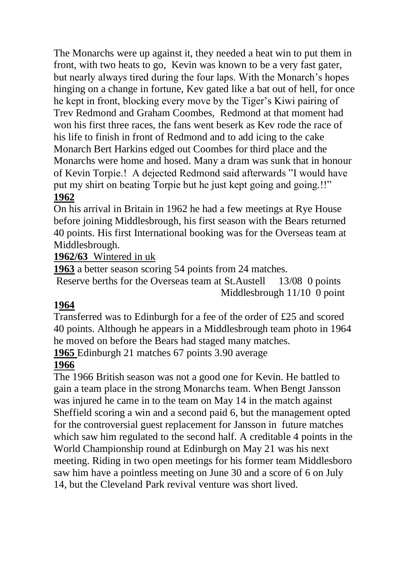The Monarchs were up against it, they needed a heat win to put them in front, with two heats to go, Kevin was known to be a very fast gater, but nearly always tired during the four laps. With the Monarch"s hopes hinging on a change in fortune, Kev gated like a bat out of hell, for once he kept in front, blocking every move by the Tiger"s Kiwi pairing of Trev Redmond and Graham Coombes, Redmond at that moment had won his first three races, the fans went beserk as Kev rode the race of his life to finish in front of Redmond and to add icing to the cake Monarch Bert Harkins edged out Coombes for third place and the Monarchs were home and hosed. Many a dram was sunk that in honour of Kevin Torpie.! A dejected Redmond said afterwards "I would have put my shirt on beating Torpie but he just kept going and going.!!" **1962**

On his arrival in Britain in 1962 he had a few meetings at Rye House before joining Middlesbrough, his first season with the Bears returned 40 points. His first International booking was for the Overseas team at Middlesbrough.

#### **1962/63** Wintered in uk

**1963** a better season scoring 54 points from 24 matches.

Reserve berths for the Overseas team at St.Austell 13/08 0 points Middlesbrough 11/10 0 point

#### **1964**

Transferred was to Edinburgh for a fee of the order of £25 and scored 40 points. Although he appears in a Middlesbrough team photo in 1964 he moved on before the Bears had staged many matches.

**1965** Edinburgh 21 matches 67 points 3.90 average

#### **1966**

The 1966 British season was not a good one for Kevin. He battled to gain a team place in the strong Monarchs team. When Bengt Jansson was injured he came in to the team on May 14 in the match against Sheffield scoring a win and a second paid 6, but the management opted for the controversial guest replacement for Jansson in future matches which saw him regulated to the second half. A creditable 4 points in the World Championship round at Edinburgh on May 21 was his next meeting. Riding in two open meetings for his former team Middlesboro saw him have a pointless meeting on June 30 and a score of 6 on July 14, but the Cleveland Park revival venture was short lived.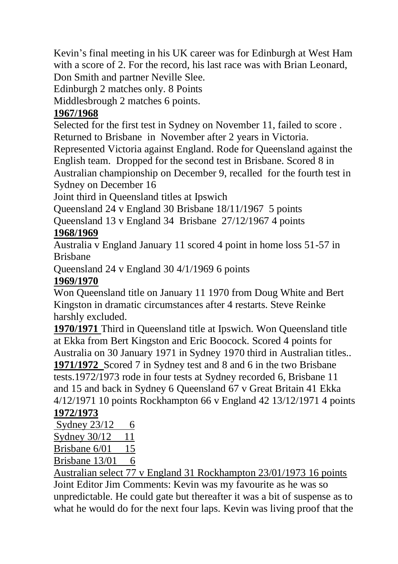Kevin"s final meeting in his UK career was for Edinburgh at West Ham with a score of 2. For the record, his last race was with Brian Leonard, Don Smith and partner Neville Slee.

Edinburgh 2 matches only. 8 Points

Middlesbrough 2 matches 6 points.

### **1967/1968**

Selected for the first test in Sydney on November 11, failed to score . Returned to Brisbane in November after 2 years in Victoria.

Represented Victoria against England. Rode for Queensland against the English team. Dropped for the second test in Brisbane. Scored 8 in Australian championship on December 9, recalled for the fourth test in Sydney on December 16

Joint third in Queensland titles at Ipswich

Queensland 24 v England 30 Brisbane 18/11/1967 5 points

Queensland 13 v England 34 Brisbane 27/12/1967 4 points

# **1968/1969**

Australia v England January 11 scored 4 point in home loss 51-57 in Brisbane

Queensland 24 v England 30 4/1/1969 6 points

### **1969/1970**

Won Queensland title on January 11 1970 from Doug White and Bert Kingston in dramatic circumstances after 4 restarts. Steve Reinke harshly excluded.

**1970/1971** Third in Queensland title at Ipswich. Won Queensland title at Ekka from Bert Kingston and Eric Boocock. Scored 4 points for Australia on 30 January 1971 in Sydney 1970 third in Australian titles.. **1971/1972** Scored 7 in Sydney test and 8 and 6 in the two Brisbane tests.1972/1973 rode in four tests at Sydney recorded 6, Brisbane 11

and 15 and back in Sydney 6 Queensland 67 v Great Britain 41 Ekka 4/12/1971 10 points Rockhampton 66 v England 42 13/12/1971 4 points **1972/1973**

Sydney  $23/12$  6

Sydney 30/12 11

Brisbane 6/01 15

Brisbane  $13/01$  6

Australian select 77 v England 31 Rockhampton 23/01/1973 16 points Joint Editor Jim Comments: Kevin was my favourite as he was so

unpredictable. He could gate but thereafter it was a bit of suspense as to what he would do for the next four laps. Kevin was living proof that the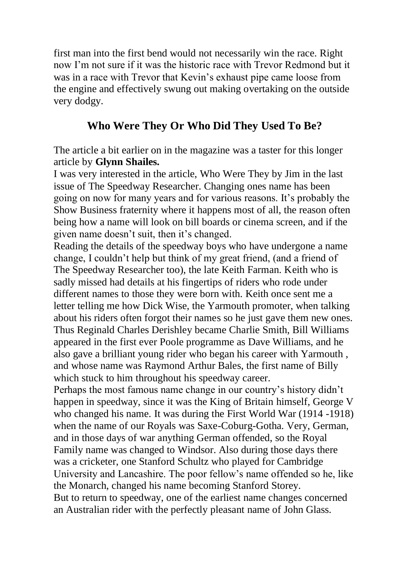first man into the first bend would not necessarily win the race. Right now I"m not sure if it was the historic race with Trevor Redmond but it was in a race with Trevor that Kevin's exhaust pipe came loose from the engine and effectively swung out making overtaking on the outside very dodgy.

## **Who Were They Or Who Did They Used To Be?**

The article a bit earlier on in the magazine was a taster for this longer article by **Glynn Shailes.**

I was very interested in the article, Who Were They by Jim in the last issue of The Speedway Researcher. Changing ones name has been going on now for many years and for various reasons. It"s probably the Show Business fraternity where it happens most of all, the reason often being how a name will look on bill boards or cinema screen, and if the given name doesn"t suit, then it"s changed.

Reading the details of the speedway boys who have undergone a name change, I couldn"t help but think of my great friend, (and a friend of The Speedway Researcher too), the late Keith Farman. Keith who is sadly missed had details at his fingertips of riders who rode under different names to those they were born with. Keith once sent me a letter telling me how Dick Wise, the Yarmouth promoter, when talking about his riders often forgot their names so he just gave them new ones. Thus Reginald Charles Derishley became Charlie Smith, Bill Williams appeared in the first ever Poole programme as Dave Williams, and he also gave a brilliant young rider who began his career with Yarmouth , and whose name was Raymond Arthur Bales, the first name of Billy which stuck to him throughout his speedway career.

Perhaps the most famous name change in our country"s history didn"t happen in speedway, since it was the King of Britain himself, George V who changed his name. It was during the First World War (1914 -1918) when the name of our Royals was Saxe-Coburg-Gotha. Very, German, and in those days of war anything German offended, so the Royal Family name was changed to Windsor. Also during those days there was a cricketer, one Stanford Schultz who played for Cambridge University and Lancashire. The poor fellow"s name offended so he, like the Monarch, changed his name becoming Stanford Storey. But to return to speedway, one of the earliest name changes concerned an Australian rider with the perfectly pleasant name of John Glass.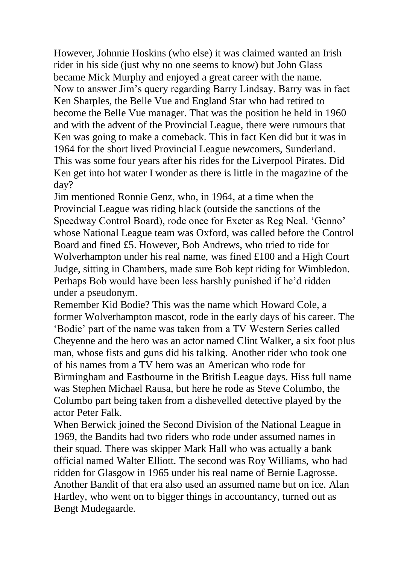However, Johnnie Hoskins (who else) it was claimed wanted an Irish rider in his side (just why no one seems to know) but John Glass became Mick Murphy and enjoyed a great career with the name. Now to answer Jim"s query regarding Barry Lindsay. Barry was in fact Ken Sharples, the Belle Vue and England Star who had retired to become the Belle Vue manager. That was the position he held in 1960 and with the advent of the Provincial League, there were rumours that Ken was going to make a comeback. This in fact Ken did but it was in 1964 for the short lived Provincial League newcomers, Sunderland. This was some four years after his rides for the Liverpool Pirates. Did Ken get into hot water I wonder as there is little in the magazine of the day?

Jim mentioned Ronnie Genz, who, in 1964, at a time when the Provincial League was riding black (outside the sanctions of the Speedway Control Board), rode once for Exeter as Reg Neal. "Genno" whose National League team was Oxford, was called before the Control Board and fined £5. However, Bob Andrews, who tried to ride for Wolverhampton under his real name, was fined £100 and a High Court Judge, sitting in Chambers, made sure Bob kept riding for Wimbledon. Perhaps Bob would have been less harshly punished if he"d ridden under a pseudonym.

Remember Kid Bodie? This was the name which Howard Cole, a former Wolverhampton mascot, rode in the early days of his career. The "Bodie" part of the name was taken from a TV Western Series called Cheyenne and the hero was an actor named Clint Walker, a six foot plus man, whose fists and guns did his talking. Another rider who took one of his names from a TV hero was an American who rode for Birmingham and Eastbourne in the British League days. Hiss full name was Stephen Michael Rausa, but here he rode as Steve Columbo, the Columbo part being taken from a dishevelled detective played by the actor Peter Falk.

When Berwick joined the Second Division of the National League in 1969, the Bandits had two riders who rode under assumed names in their squad. There was skipper Mark Hall who was actually a bank official named Walter Elliott. The second was Roy Williams, who had ridden for Glasgow in 1965 under his real name of Bernie Lagrosse. Another Bandit of that era also used an assumed name but on ice. Alan Hartley, who went on to bigger things in accountancy, turned out as Bengt Mudegaarde.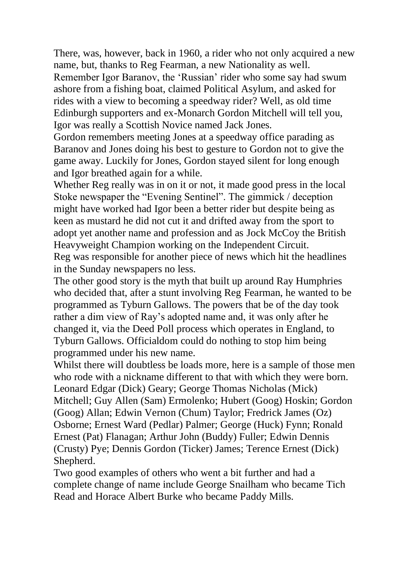There, was, however, back in 1960, a rider who not only acquired a new name, but, thanks to Reg Fearman, a new Nationality as well.

Remember Igor Baranov, the "Russian" rider who some say had swum ashore from a fishing boat, claimed Political Asylum, and asked for rides with a view to becoming a speedway rider? Well, as old time Edinburgh supporters and ex-Monarch Gordon Mitchell will tell you, Igor was really a Scottish Novice named Jack Jones.

Gordon remembers meeting Jones at a speedway office parading as Baranov and Jones doing his best to gesture to Gordon not to give the game away. Luckily for Jones, Gordon stayed silent for long enough and Igor breathed again for a while.

Whether Reg really was in on it or not, it made good press in the local Stoke newspaper the "Evening Sentinel". The gimmick / deception might have worked had Igor been a better rider but despite being as keen as mustard he did not cut it and drifted away from the sport to adopt yet another name and profession and as Jock McCoy the British Heavyweight Champion working on the Independent Circuit. Reg was responsible for another piece of news which hit the headlines in the Sunday newspapers no less.

The other good story is the myth that built up around Ray Humphries who decided that, after a stunt involving Reg Fearman, he wanted to be programmed as Tyburn Gallows. The powers that be of the day took rather a dim view of Ray"s adopted name and, it was only after he changed it, via the Deed Poll process which operates in England, to Tyburn Gallows. Officialdom could do nothing to stop him being programmed under his new name.

Whilst there will doubtless be loads more, here is a sample of those men who rode with a nickname different to that with which they were born. Leonard Edgar (Dick) Geary; George Thomas Nicholas (Mick) Mitchell; Guy Allen (Sam) Ermolenko; Hubert (Goog) Hoskin; Gordon (Goog) Allan; Edwin Vernon (Chum) Taylor; Fredrick James (Oz) Osborne; Ernest Ward (Pedlar) Palmer; George (Huck) Fynn; Ronald Ernest (Pat) Flanagan; Arthur John (Buddy) Fuller; Edwin Dennis (Crusty) Pye; Dennis Gordon (Ticker) James; Terence Ernest (Dick) Shepherd.

Two good examples of others who went a bit further and had a complete change of name include George Snailham who became Tich Read and Horace Albert Burke who became Paddy Mills.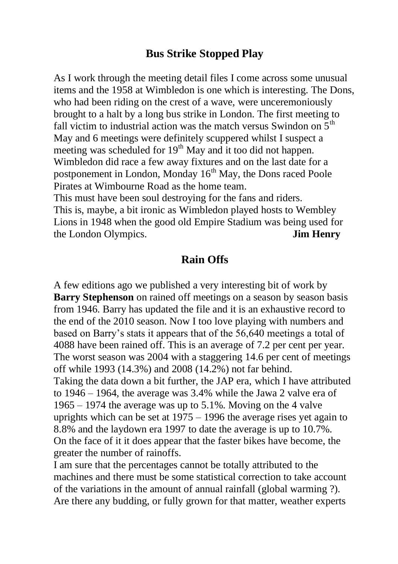#### **Bus Strike Stopped Play**

As I work through the meeting detail files I come across some unusual items and the 1958 at Wimbledon is one which is interesting. The Dons, who had been riding on the crest of a wave, were unceremoniously brought to a halt by a long bus strike in London. The first meeting to fall victim to industrial action was the match versus Swindon on  $5<sup>th</sup>$ May and 6 meetings were definitely scuppered whilst I suspect a meeting was scheduled for 19<sup>th</sup> May and it too did not happen. Wimbledon did race a few away fixtures and on the last date for a postponement in London, Monday 16<sup>th</sup> May, the Dons raced Poole Pirates at Wimbourne Road as the home team.

This must have been soul destroying for the fans and riders. This is, maybe, a bit ironic as Wimbledon played hosts to Wembley Lions in 1948 when the good old Empire Stadium was being used for the London Olympics. **Jim Henry**

#### **Rain Offs**

A few editions ago we published a very interesting bit of work by **Barry Stephenson** on rained off meetings on a season by season basis from 1946. Barry has updated the file and it is an exhaustive record to the end of the 2010 season. Now I too love playing with numbers and based on Barry"s stats it appears that of the 56,640 meetings a total of 4088 have been rained off. This is an average of 7.2 per cent per year. The worst season was 2004 with a staggering 14.6 per cent of meetings off while 1993 (14.3%) and 2008 (14.2%) not far behind. Taking the data down a bit further, the JAP era, which I have attributed to 1946 – 1964, the average was 3.4% while the Jawa 2 valve era of 1965 – 1974 the average was up to 5.1%. Moving on the 4 valve uprights which can be set at 1975 – 1996 the average rises yet again to 8.8% and the laydown era 1997 to date the average is up to 10.7%. On the face of it it does appear that the faster bikes have become, the greater the number of rainoffs.

I am sure that the percentages cannot be totally attributed to the machines and there must be some statistical correction to take account of the variations in the amount of annual rainfall (global warming ?). Are there any budding, or fully grown for that matter, weather experts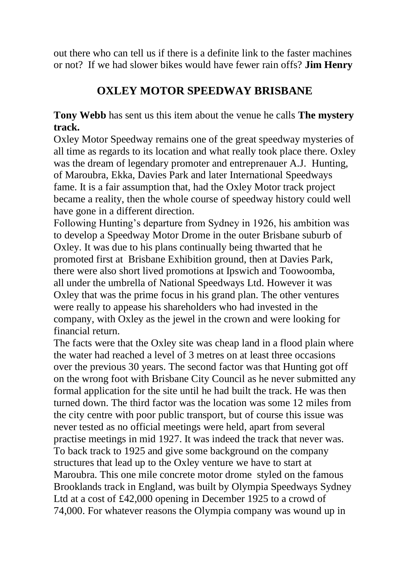out there who can tell us if there is a definite link to the faster machines or not? If we had slower bikes would have fewer rain offs? **Jim Henry**

# **OXLEY MOTOR SPEEDWAY BRISBANE**

**Tony Webb** has sent us this item about the venue he calls **The mystery track.**

Oxley Motor Speedway remains one of the great speedway mysteries of all time as regards to its location and what really took place there. Oxley was the dream of legendary promoter and entreprenauer A.J. Hunting, of Maroubra, Ekka, Davies Park and later International Speedways fame. It is a fair assumption that, had the Oxley Motor track project became a reality, then the whole course of speedway history could well have gone in a different direction.

Following Hunting"s departure from Sydney in 1926, his ambition was to develop a Speedway Motor Drome in the outer Brisbane suburb of Oxley. It was due to his plans continually being thwarted that he promoted first at Brisbane Exhibition ground, then at Davies Park, there were also short lived promotions at Ipswich and Toowoomba, all under the umbrella of National Speedways Ltd. However it was Oxley that was the prime focus in his grand plan. The other ventures were really to appease his shareholders who had invested in the company, with Oxley as the jewel in the crown and were looking for financial return.

The facts were that the Oxley site was cheap land in a flood plain where the water had reached a level of 3 metres on at least three occasions over the previous 30 years. The second factor was that Hunting got off on the wrong foot with Brisbane City Council as he never submitted any formal application for the site until he had built the track. He was then turned down. The third factor was the location was some 12 miles from the city centre with poor public transport, but of course this issue was never tested as no official meetings were held, apart from several practise meetings in mid 1927. It was indeed the track that never was. To back track to 1925 and give some background on the company structures that lead up to the Oxley venture we have to start at Maroubra. This one mile concrete motor drome styled on the famous Brooklands track in England, was built by Olympia Speedways Sydney Ltd at a cost of £42,000 opening in December 1925 to a crowd of 74,000. For whatever reasons the Olympia company was wound up in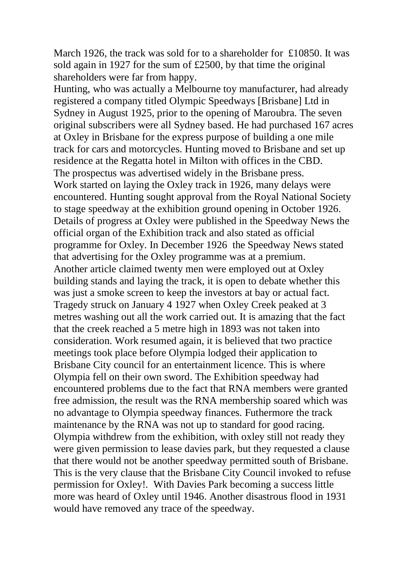March 1926, the track was sold for to a shareholder for £10850. It was sold again in 1927 for the sum of £2500, by that time the original shareholders were far from happy.

Hunting, who was actually a Melbourne toy manufacturer, had already registered a company titled Olympic Speedways [Brisbane] Ltd in Sydney in August 1925, prior to the opening of Maroubra. The seven original subscribers were all Sydney based. He had purchased 167 acres at Oxley in Brisbane for the express purpose of building a one mile track for cars and motorcycles. Hunting moved to Brisbane and set up residence at the Regatta hotel in Milton with offices in the CBD. The prospectus was advertised widely in the Brisbane press. Work started on laying the Oxley track in 1926, many delays were encountered. Hunting sought approval from the Royal National Society to stage speedway at the exhibition ground opening in October 1926. Details of progress at Oxley were published in the Speedway News the official organ of the Exhibition track and also stated as official programme for Oxley. In December 1926 the Speedway News stated that advertising for the Oxley programme was at a premium. Another article claimed twenty men were employed out at Oxley building stands and laying the track, it is open to debate whether this was just a smoke screen to keep the investors at bay or actual fact. Tragedy struck on January 4 1927 when Oxley Creek peaked at 3 metres washing out all the work carried out. It is amazing that the fact that the creek reached a 5 metre high in 1893 was not taken into consideration. Work resumed again, it is believed that two practice meetings took place before Olympia lodged their application to Brisbane City council for an entertainment licence. This is where Olympia fell on their own sword. The Exhibition speedway had encountered problems due to the fact that RNA members were granted free admission, the result was the RNA membership soared which was no advantage to Olympia speedway finances. Futhermore the track maintenance by the RNA was not up to standard for good racing. Olympia withdrew from the exhibition, with oxley still not ready they were given permission to lease davies park, but they requested a clause that there would not be another speedway permitted south of Brisbane. This is the very clause that the Brisbane City Council invoked to refuse permission for Oxley!. With Davies Park becoming a success little more was heard of Oxley until 1946. Another disastrous flood in 1931 would have removed any trace of the speedway.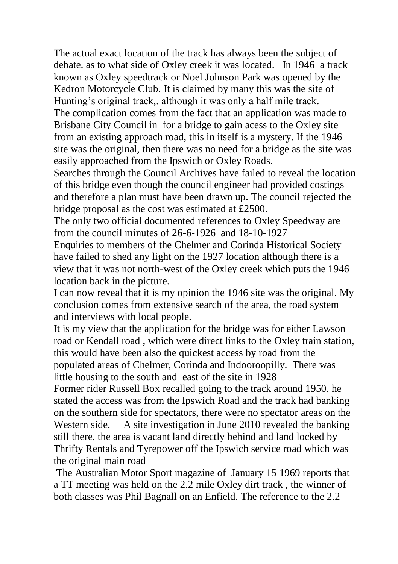The actual exact location of the track has always been the subject of debate. as to what side of Oxley creek it was located. In 1946 a track known as Oxley speedtrack or Noel Johnson Park was opened by the Kedron Motorcycle Club. It is claimed by many this was the site of Hunting's original track,. although it was only a half mile track. The complication comes from the fact that an application was made to Brisbane City Council in for a bridge to gain acess to the Oxley site from an existing approach road, this in itself is a mystery. If the 1946 site was the original, then there was no need for a bridge as the site was easily approached from the Ipswich or Oxley Roads.

Searches through the Council Archives have failed to reveal the location of this bridge even though the council engineer had provided costings and therefore a plan must have been drawn up. The council rejected the bridge proposal as the cost was estimated at £2500.

The only two official documented references to Oxley Speedway are from the council minutes of 26-6-1926 and 18-10-1927

Enquiries to members of the Chelmer and Corinda Historical Society have failed to shed any light on the 1927 location although there is a view that it was not north-west of the Oxley creek which puts the 1946 location back in the picture.

I can now reveal that it is my opinion the 1946 site was the original. My conclusion comes from extensive search of the area, the road system and interviews with local people.

It is my view that the application for the bridge was for either Lawson road or Kendall road , which were direct links to the Oxley train station, this would have been also the quickest access by road from the populated areas of Chelmer, Corinda and Indooroopilly. There was little housing to the south and east of the site in 1928

Former rider Russell Box recalled going to the track around 1950, he stated the access was from the Ipswich Road and the track had banking on the southern side for spectators, there were no spectator areas on the Western side. A site investigation in June 2010 revealed the banking still there, the area is vacant land directly behind and land locked by Thrifty Rentals and Tyrepower off the Ipswich service road which was the original main road

The Australian Motor Sport magazine of January 15 1969 reports that a TT meeting was held on the 2.2 mile Oxley dirt track , the winner of both classes was Phil Bagnall on an Enfield. The reference to the 2.2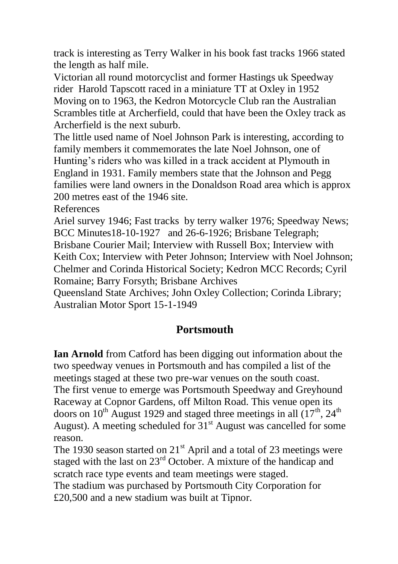track is interesting as Terry Walker in his book fast tracks 1966 stated the length as half mile.

Victorian all round motorcyclist and former Hastings uk Speedway rider Harold Tapscott raced in a miniature TT at Oxley in 1952 Moving on to 1963, the Kedron Motorcycle Club ran the Australian Scrambles title at Archerfield, could that have been the Oxley track as Archerfield is the next suburb.

The little used name of Noel Johnson Park is interesting, according to family members it commemorates the late Noel Johnson, one of Hunting"s riders who was killed in a track accident at Plymouth in England in 1931. Family members state that the Johnson and Pegg families were land owners in the Donaldson Road area which is approx 200 metres east of the 1946 site.

References

Ariel survey 1946; Fast tracks by terry walker 1976; Speedway News; BCC Minutes18-10-1927 and 26-6-1926; Brisbane Telegraph; Brisbane Courier Mail; Interview with Russell Box; Interview with Keith Cox; Interview with Peter Johnson; Interview with Noel Johnson; Chelmer and Corinda Historical Society; Kedron MCC Records; Cyril Romaine; Barry Forsyth; Brisbane Archives

Queensland State Archives; John Oxley Collection; Corinda Library; Australian Motor Sport 15-1-1949

### **Portsmouth**

**Ian Arnold** from Catford has been digging out information about the two speedway venues in Portsmouth and has compiled a list of the meetings staged at these two pre-war venues on the south coast. The first venue to emerge was Portsmouth Speedway and Greyhound Raceway at Copnor Gardens, off Milton Road. This venue open its doors on 10<sup>th</sup> August 1929 and staged three meetings in all  $(17<sup>th</sup>, 24<sup>th</sup>)$ August). A meeting scheduled for  $31<sup>st</sup>$  August was cancelled for some reason.

The 1930 season started on  $21<sup>st</sup>$  April and a total of 23 meetings were staged with the last on 23<sup>rd</sup> October. A mixture of the handicap and scratch race type events and team meetings were staged. The stadium was purchased by Portsmouth City Corporation for £20,500 and a new stadium was built at Tipnor.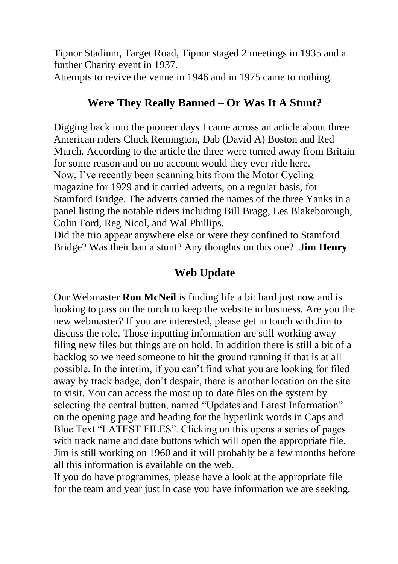Tipnor Stadium, Target Road, Tipnor staged 2 meetings in 1935 and a further Charity event in 1937.

Attempts to revive the venue in 1946 and in 1975 came to nothing.

### **Were They Really Banned – Or Was It A Stunt?**

Digging back into the pioneer days I came across an article about three American riders Chick Remington, Dab (David A) Boston and Red Murch. According to the article the three were turned away from Britain for some reason and on no account would they ever ride here. Now, I"ve recently been scanning bits from the Motor Cycling magazine for 1929 and it carried adverts, on a regular basis, for Stamford Bridge. The adverts carried the names of the three Yanks in a panel listing the notable riders including Bill Bragg, Les Blakeborough, Colin Ford, Reg Nicol, and Wal Phillips.

Did the trio appear anywhere else or were they confined to Stamford Bridge? Was their ban a stunt? Any thoughts on this one? **Jim Henry**

# **Web Update**

Our Webmaster **Ron McNeil** is finding life a bit hard just now and is looking to pass on the torch to keep the website in business. Are you the new webmaster? If you are interested, please get in touch with Jim to discuss the role. Those inputting information are still working away filing new files but things are on hold. In addition there is still a bit of a backlog so we need someone to hit the ground running if that is at all possible. In the interim, if you can"t find what you are looking for filed away by track badge, don"t despair, there is another location on the site to visit. You can access the most up to date files on the system by selecting the central button, named "Updates and Latest Information" on the opening page and heading for the hyperlink words in Caps and Blue Text "LATEST FILES". Clicking on this opens a series of pages with track name and date buttons which will open the appropriate file. Jim is still working on 1960 and it will probably be a few months before all this information is available on the web.

If you do have programmes, please have a look at the appropriate file for the team and year just in case you have information we are seeking.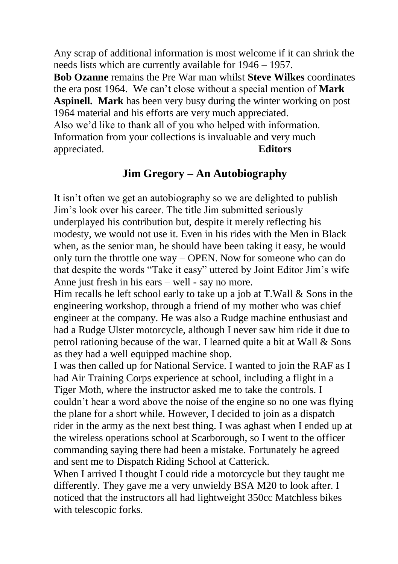Any scrap of additional information is most welcome if it can shrink the needs lists which are currently available for 1946 – 1957.

**Bob Ozanne** remains the Pre War man whilst **Steve Wilkes** coordinates the era post 1964. We can"t close without a special mention of **Mark Aspinell. Mark** has been very busy during the winter working on post 1964 material and his efforts are very much appreciated.

Also we"d like to thank all of you who helped with information. Information from your collections is invaluable and very much appreciated. **Editors** 

#### **Jim Gregory – An Autobiography**

It isn"t often we get an autobiography so we are delighted to publish Jim"s look over his career. The title Jim submitted seriously underplayed his contribution but, despite it merely reflecting his modesty, we would not use it. Even in his rides with the Men in Black when, as the senior man, he should have been taking it easy, he would only turn the throttle one way – OPEN. Now for someone who can do that despite the words "Take it easy" uttered by Joint Editor Jim"s wife Anne just fresh in his ears – well - say no more.

Him recalls he left school early to take up a job at  $T.$  Wall  $\&$  Sons in the engineering workshop, through a friend of my mother who was chief engineer at the company. He was also a Rudge machine enthusiast and had a Rudge Ulster motorcycle, although I never saw him ride it due to petrol rationing because of the war. I learned quite a bit at Wall & Sons as they had a well equipped machine shop.

I was then called up for National Service. I wanted to join the RAF as I had Air Training Corps experience at school, including a flight in a Tiger Moth, where the instructor asked me to take the controls. I couldn"t hear a word above the noise of the engine so no one was flying the plane for a short while. However, I decided to join as a dispatch rider in the army as the next best thing. I was aghast when I ended up at the wireless operations school at Scarborough, so I went to the officer commanding saying there had been a mistake. Fortunately he agreed and sent me to Dispatch Riding School at Catterick.

When I arrived I thought I could ride a motorcycle but they taught me differently. They gave me a very unwieldy BSA M20 to look after. I noticed that the instructors all had lightweight 350cc Matchless bikes with telescopic forks.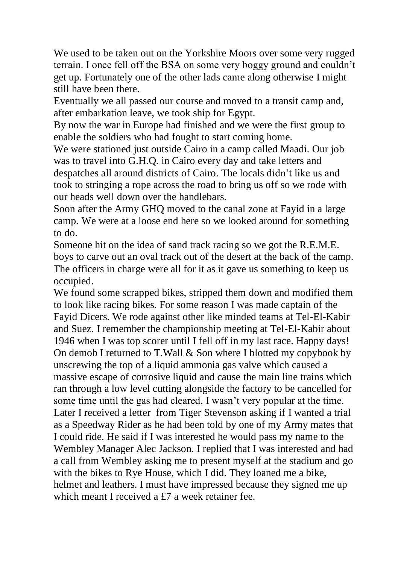We used to be taken out on the Yorkshire Moors over some very rugged terrain. I once fell off the BSA on some very boggy ground and couldn"t get up. Fortunately one of the other lads came along otherwise I might still have been there.

Eventually we all passed our course and moved to a transit camp and, after embarkation leave, we took ship for Egypt.

By now the war in Europe had finished and we were the first group to enable the soldiers who had fought to start coming home.

We were stationed just outside Cairo in a camp called Maadi. Our job was to travel into G.H.Q. in Cairo every day and take letters and despatches all around districts of Cairo. The locals didn"t like us and took to stringing a rope across the road to bring us off so we rode with our heads well down over the handlebars.

Soon after the Army GHQ moved to the canal zone at Fayid in a large camp. We were at a loose end here so we looked around for something to do.

Someone hit on the idea of sand track racing so we got the R.E.M.E. boys to carve out an oval track out of the desert at the back of the camp. The officers in charge were all for it as it gave us something to keep us occupied.

We found some scrapped bikes, stripped them down and modified them to look like racing bikes. For some reason I was made captain of the Fayid Dicers. We rode against other like minded teams at Tel-El-Kabir and Suez. I remember the championship meeting at Tel-El-Kabir about 1946 when I was top scorer until I fell off in my last race. Happy days! On demob I returned to T.Wall & Son where I blotted my copybook by unscrewing the top of a liquid ammonia gas valve which caused a massive escape of corrosive liquid and cause the main line trains which ran through a low level cutting alongside the factory to be cancelled for some time until the gas had cleared. I wasn"t very popular at the time. Later I received a letter from Tiger Stevenson asking if I wanted a trial as a Speedway Rider as he had been told by one of my Army mates that I could ride. He said if I was interested he would pass my name to the Wembley Manager Alec Jackson. I replied that I was interested and had a call from Wembley asking me to present myself at the stadium and go with the bikes to Rye House, which I did. They loaned me a bike, helmet and leathers. I must have impressed because they signed me up which meant I received a £7 a week retainer fee.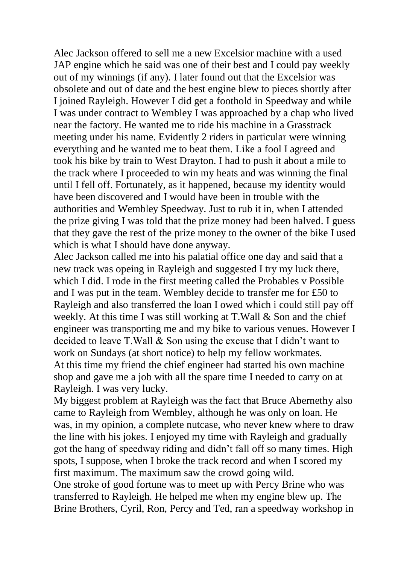Alec Jackson offered to sell me a new Excelsior machine with a used JAP engine which he said was one of their best and I could pay weekly out of my winnings (if any). I later found out that the Excelsior was obsolete and out of date and the best engine blew to pieces shortly after I joined Rayleigh. However I did get a foothold in Speedway and while I was under contract to Wembley I was approached by a chap who lived near the factory. He wanted me to ride his machine in a Grasstrack meeting under his name. Evidently 2 riders in particular were winning everything and he wanted me to beat them. Like a fool I agreed and took his bike by train to West Drayton. I had to push it about a mile to the track where I proceeded to win my heats and was winning the final until I fell off. Fortunately, as it happened, because my identity would have been discovered and I would have been in trouble with the authorities and Wembley Speedway. Just to rub it in, when I attended the prize giving I was told that the prize money had been halved. I guess that they gave the rest of the prize money to the owner of the bike I used which is what I should have done anyway.

Alec Jackson called me into his palatial office one day and said that a new track was opeing in Rayleigh and suggested I try my luck there, which I did. I rode in the first meeting called the Probables v Possible and I was put in the team. Wembley decide to transfer me for £50 to Rayleigh and also transferred the loan I owed which i could still pay off weekly. At this time I was still working at T.Wall & Son and the chief engineer was transporting me and my bike to various venues. However I decided to leave T.Wall & Son using the excuse that I didn"t want to work on Sundays (at short notice) to help my fellow workmates. At this time my friend the chief engineer had started his own machine shop and gave me a job with all the spare time I needed to carry on at Rayleigh. I was very lucky.

My biggest problem at Rayleigh was the fact that Bruce Abernethy also came to Rayleigh from Wembley, although he was only on loan. He was, in my opinion, a complete nutcase, who never knew where to draw the line with his jokes. I enjoyed my time with Rayleigh and gradually got the hang of speedway riding and didn"t fall off so many times. High spots, I suppose, when I broke the track record and when I scored my first maximum. The maximum saw the crowd going wild.

One stroke of good fortune was to meet up with Percy Brine who was transferred to Rayleigh. He helped me when my engine blew up. The Brine Brothers, Cyril, Ron, Percy and Ted, ran a speedway workshop in